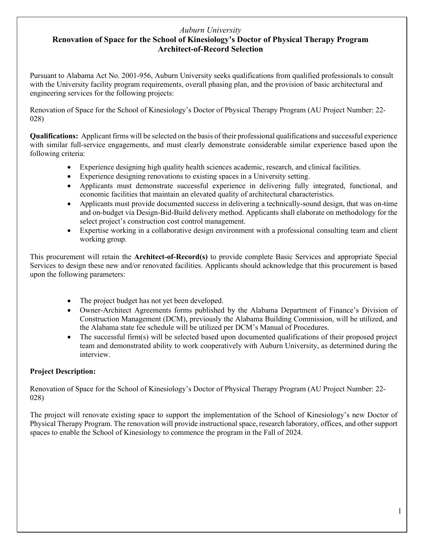## *Auburn University*

## **Renovation of Space for the School of Kinesiology's Doctor of Physical Therapy Program Architect-of-Record Selection**

Pursuant to Alabama Act No. 2001-956, Auburn University seeks qualifications from qualified professionals to consult with the University facility program requirements, overall phasing plan, and the provision of basic architectural and engineering services for the following projects:

Renovation of Space for the School of Kinesiology's Doctor of Physical Therapy Program (AU Project Number: 22- 028)

**Qualifications:** Applicant firms will be selected on the basis of their professional qualifications and successful experience with similar full-service engagements, and must clearly demonstrate considerable similar experience based upon the following criteria:

- Experience designing high quality health sciences academic, research, and clinical facilities.
- Experience designing renovations to existing spaces in a University setting.
- Applicants must demonstrate successful experience in delivering fully integrated, functional, and economic facilities that maintain an elevated quality of architectural characteristics.
- Applicants must provide documented success in delivering a technically-sound design, that was on-time and on-budget via Design-Bid-Build delivery method. Applicants shall elaborate on methodology for the select project's construction cost control management.
- Expertise working in a collaborative design environment with a professional consulting team and client working group.

This procurement will retain the **Architect-of-Record(s)** to provide complete Basic Services and appropriate Special Services to design these new and/or renovated facilities. Applicants should acknowledge that this procurement is based upon the following parameters:

- The project budget has not yet been developed.
- Owner-Architect Agreements forms published by the Alabama Department of Finance's Division of Construction Management (DCM), previously the Alabama Building Commission, will be utilized, and the Alabama state fee schedule will be utilized per DCM's Manual of Procedures.
- The successful firm(s) will be selected based upon documented qualifications of their proposed project team and demonstrated ability to work cooperatively with Auburn University, as determined during the interview.

## **Project Description:**

Renovation of Space for the School of Kinesiology's Doctor of Physical Therapy Program (AU Project Number: 22- 028)

The project will renovate existing space to support the implementation of the School of Kinesiology's new Doctor of Physical Therapy Program. The renovation will provide instructional space, research laboratory, offices, and other support spaces to enable the School of Kinesiology to commence the program in the Fall of 2024.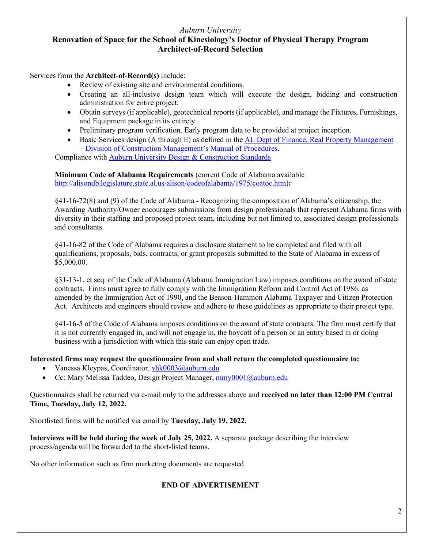### *Auburn University* **Renovation of Space for the School of Kinesiology's Doctor of Physical Therapy Program Architect-of-Record Selection**

Services from the **Architect-of-Record(s)** include:

- Review of existing site and environmental conditions.
- Creating an all-inclusive design team which will execute the design, bidding and construction administration for entire project.
- Obtain surveys (if applicable), geotechnical reports (if applicable), and manage the Fixtures, Furnishings, and Equipment package in its entirety.
- Preliminary program verification. Early program data to be provided at project inception.
- Basic Services design (A through E) as defined in the AL [Dept of Finance, Real Property Management](https://dcm.alabama.gov/manual.aspx)  – [Division of Construction Management's Manual of Procedures.](https://dcm.alabama.gov/manual.aspx)

Compliance with [Auburn University Design & Construction Standards](http://www.auburn.edu/administration/facilities/contractor-documents/design-const-standards.html)

**Minimum Code of Alabama Requirements** (current Code of Alabama available [http://alisondb.legislature.state.al.us/alison/codeofalabama/1975/coatoc.htm\)](http://alisondb.legislature.state.al.us/alison/codeofalabama/1975/coatoc.htm)**:**

§41-16-72(8) and (9) of the Code of Alabama - Recognizing the composition of Alabama's citizenship, the Awarding Authority/Owner encourages submissions from design professionals that represent Alabama firms with diversity in their staffing and proposed project team, including but not limited to, associated design professionals and consultants.

§41-16-82 of the Code of Alabama requires a disclosure statement to be completed and filed with all qualifications, proposals, bids, contracts, or grant proposals submitted to the State of Alabama in excess of \$5,000.00.

§31-13-1, et seq. of the Code of Alabama (Alabama Immigration Law) imposes conditions on the award of state contracts. Firms must agree to fully comply with the Immigration Reform and Control Act of 1986, as amended by the Immigration Act of 1990, and the Beason-Hammon Alabama Taxpayer and Citizen Protection Act. Architects and engineers should review and adhere to these guidelines as appropriate to their project type.

§41-16-5 of the Code of Alabama imposes conditions on the award of state contracts. The firm must certify that it is not currently engaged in, and will not engage in, the boycott of a person or an entity based in or doing business with a jurisdiction with which this state can enjoy open trade.

### **Interested firms may request the questionnaire from and shall return the completed questionnaire to:**

- Vanessa Kleypas, Coordinator,  $v$ hk0003@auburn.edu
- Cc: Mary Melissa Taddeo, Design Project Manager[, mmy0001@auburn.edu](mailto:mmy0001@auburn.edu)

Questionnaires shall be returned via e-mail only to the addresses above and **received no later than 12:00 PM Central Time, Tuesday, July 12, 2022.**

Shortlisted firms will be notified via email by **Tuesday, July 19, 2022.**

**Interviews will be held during the week of July 25, 2022.** A separate package describing the interview process/agenda will be forwarded to the short-listed teams.

No other information such as firm marketing documents are requested.

### **END OF ADVERTISEMENT**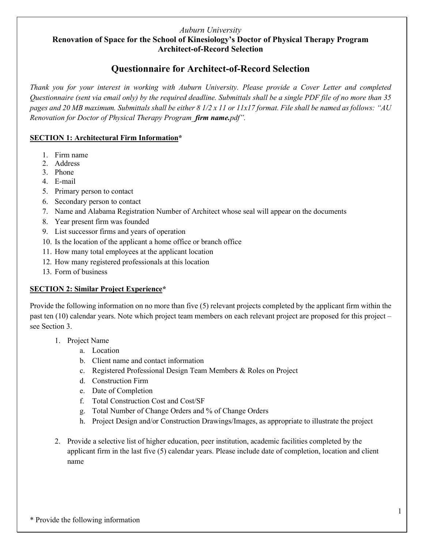### *Auburn University*

## **Renovation of Space for the School of Kinesiology's Doctor of Physical Therapy Program Architect-of-Record Selection**

# **Questionnaire for Architect-of-Record Selection**

*Thank you for your interest in working with Auburn University. Please provide a Cover Letter and completed Questionnaire (sent via email only) by the required deadline. Submittals shall be a single PDF file of no more than 35 pages and 20 MB maximum. Submittals shall be either 8 1/2 x 11 or 11x17 format. File shall be named as follows: "AU Renovation for Doctor of Physical Therapy Program\_firm name.pdf".*

## **SECTION 1: Architectural Firm Information\***

- 1. Firm name
- 2. Address
- 3. Phone
- 4. E-mail
- 5. Primary person to contact
- 6. Secondary person to contact
- 7. Name and Alabama Registration Number of Architect whose seal will appear on the documents
- 8. Year present firm was founded
- 9. List successor firms and years of operation
- 10. Is the location of the applicant a home office or branch office
- 11. How many total employees at the applicant location
- 12. How many registered professionals at this location
- 13. Form of business

## **SECTION 2: Similar Project Experience\***

Provide the following information on no more than five (5) relevant projects completed by the applicant firm within the past ten (10) calendar years. Note which project team members on each relevant project are proposed for this project – see Section 3.

- 1. Project Name
	- a. Location
	- b. Client name and contact information
	- c. Registered Professional Design Team Members & Roles on Project
	- d. Construction Firm
	- e. Date of Completion
	- f. Total Construction Cost and Cost/SF
	- g. Total Number of Change Orders and % of Change Orders
	- h. Project Design and/or Construction Drawings/Images, as appropriate to illustrate the project
- 2. Provide a selective list of higher education, peer institution, academic facilities completed by the applicant firm in the last five (5) calendar years. Please include date of completion, location and client name